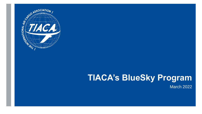

# **TIACA's BlueSky Program**

March 2022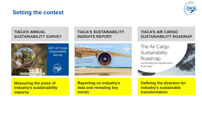## **Setting the context**



#### **TIACA'S ANNUAL SUSTAINABILITY SURVEY**



**Measuring the pulse of industry's sustainability maturity**

#### **TIACA'S SUSTAINABILITY INSIGHTS REPORT**



**Reporting on industry's data and revealing key trends**

#### **TIACA'S AIR CARGO SUSTAINABILITY ROADMAP**

The Air Cargo Sustainability Roadmap Accelerating the transformation of air cargo



**Defining the direction for industry's sustainable transformation**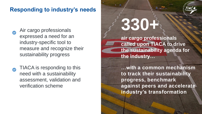## **Responding to industry's needs**



TIACA is responding to this need with a sustainability assessment, validation and verification scheme



# **330+**

**air cargo professionals called upon TIACA to drive the sustainability agenda for the industry…**

**…with a common mechanism to track their sustainability progress, benchmark against peers and accelerate industry's transformation**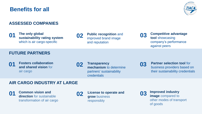## **Benefits for all**



#### **ASSESSED COMPANIES**

**The only global 01 Conservery The only global and sustainability rating system <b>02 Public recognition** and **03 03** which is air cargo-specific

**Public recognition** and improved brand image and reputation

**Competitive advantage tool** showcasing company's performance against peers

#### **FUTURE PARTNERS**

- **Fosters collaboration 01 02 03 and shared vision** for air cargo
- **Transparency mechanism** to determine partners' sustainability credentials

**Partner selection tool for** business providers based on their sustainability credentials

#### **AIR CARGO INDUSTRY AT LARGE**

**Common vision and direction** for sustainable transformation of air cargo **01** Common vision and **02** License to operate and **03 03** 



**grow** business responsibly



**Improved industry image** compared to other modes of transport of goods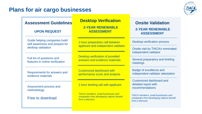### **Plans for air cargo businesses**



#### **Assessment Guidelines**

#### **UPON REQUEST**

Guide helping companies build self-awareness and prepare for desktop validation

Full list of questions and features in online verification

Requirements for answers and evidence materials

Assessment process and methodology

Free to download

## **Desktop Verification**

**2-YEAR RENEWABLE ASSESSMENT**

1-hour preparatory call between applicant and independent validator

Desktop verification of provided answers and evidence materials

Customized dashboard with performance score and analysis

1-hour briefing call with applicant

*TIACA members, small businesses and companies from developing nations benefit from a discount*

#### **Onsite Validation 2-YEAR RENEWABLE ASSESSMENT**

Desktop verification process

Onsite visit by TIACA's nominated independent validator

Several preparatory and briefing meetings

Badge of excellence and independent validator attestation

Customized dashboard and detailed report with recommendations

*TIACA members, small businesses and companies from developing nations benefit from a discount*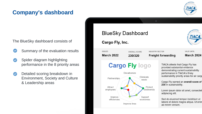## **Company's dashboard**



The BlueSky dashboard consists of

- Summary of the evaluation results
- Spider diagram highlighting performance in the 8 priority areas
- Detailed scoring breakdown in Environment, Society and Culture & Leadership areas

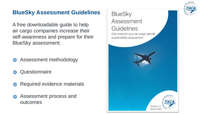

## **BlueSky Assessment Guidelines**

A free downloadable guide to help air cargo companies increase their self-awareness and prepare for their BlueSky assessment:

Assessment methodology

**Questionnaire** 

- Required evidence materials
- Assessment process and outcomes

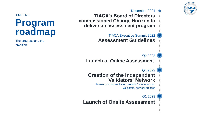

December 2021

**TIACA's Board of Directors commissioned Change Horizon to deliver an assessment program**

> TIACA Executive Summit 2022 **Assessment Guidelines**

> > Q2 2022

**Launch of Online Assessment**

Q4 2022

#### **Creation of the Independent Validators' Network**

Training and accreditation process for independent validators, network creation

#### Q1 2023

**Launch of Onsite Assessment**

TIMELINE

# **Program roadmap**

The progress and the ambition